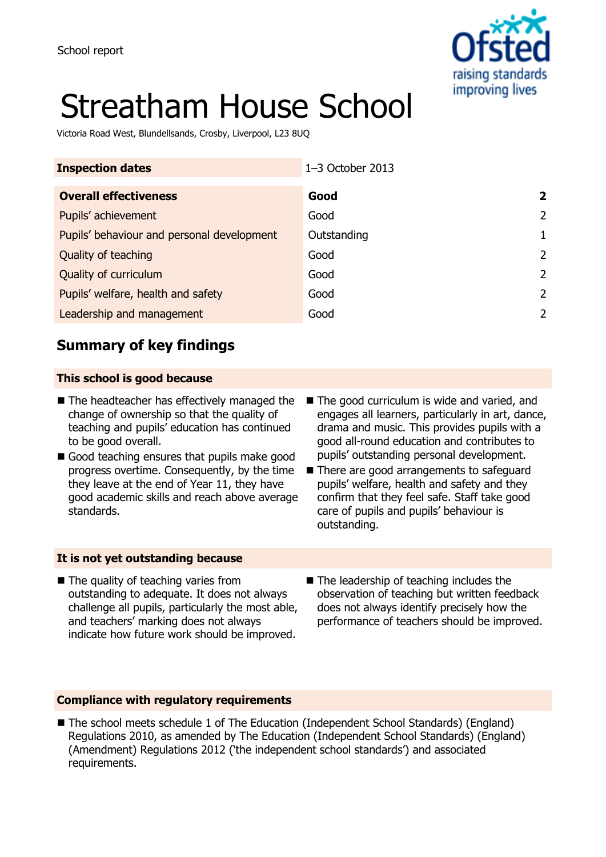

# Streatham House School

Victoria Road West, Blundellsands, Crosby, Liverpool, L23 8UQ

| <b>Inspection dates</b>                    | 1-3 October 2013 |                |
|--------------------------------------------|------------------|----------------|
| <b>Overall effectiveness</b>               | Good             | 2              |
| Pupils' achievement                        | Good             | $\overline{2}$ |
| Pupils' behaviour and personal development | Outstanding      |                |
| Quality of teaching                        | Good             | $\mathcal{P}$  |
| Quality of curriculum                      | Good             | $\mathcal{P}$  |
| Pupils' welfare, health and safety         | Good             | $\mathcal{P}$  |
| Leadership and management                  | Good             | 2              |
|                                            |                  |                |

## **Summary of key findings**

## **This school is good because**

- $\blacksquare$  The headteacher has effectively managed the change of ownership so that the quality of teaching and pupils' education has continued to be good overall.
- Good teaching ensures that pupils make good progress overtime. Consequently, by the time they leave at the end of Year 11, they have good academic skills and reach above average standards.
- The good curriculum is wide and varied, and engages all learners, particularly in art, dance, drama and music. This provides pupils with a good all-round education and contributes to pupils' outstanding personal development.
- There are good arrangements to safeguard pupils' welfare, health and safety and they confirm that they feel safe. Staff take good care of pupils and pupils' behaviour is outstanding.

## **It is not yet outstanding because**

- The quality of teaching varies from outstanding to adequate. It does not always challenge all pupils, particularly the most able, and teachers' marking does not always indicate how future work should be improved.
- The leadership of teaching includes the observation of teaching but written feedback does not always identify precisely how the performance of teachers should be improved.

## **Compliance with regulatory requirements**

■ The school meets schedule 1 of The Education (Independent School Standards) (England) Regulations 2010, as amended by The Education (Independent School Standards) (England) (Amendment) Regulations 2012 ('the independent school standards') and associated requirements.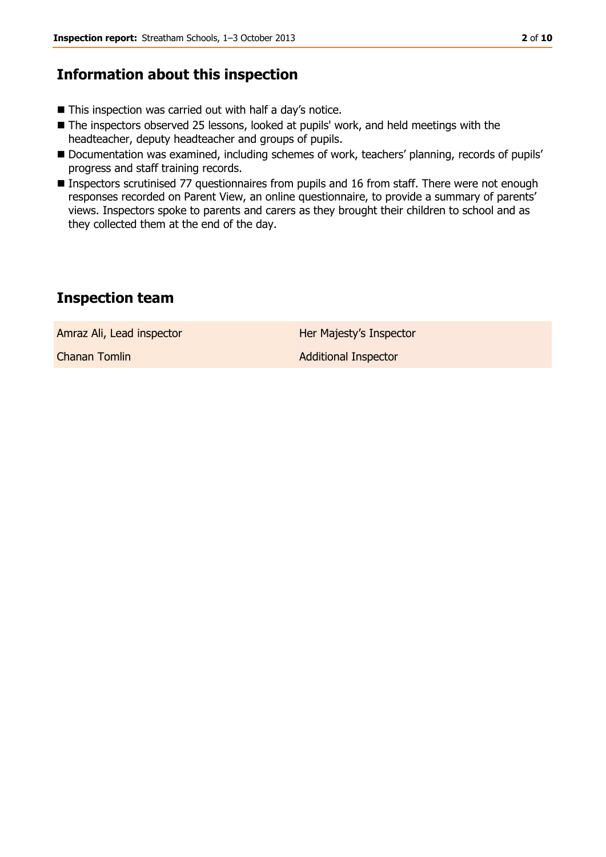## **Information about this inspection**

- This inspection was carried out with half a day's notice.
- The inspectors observed 25 lessons, looked at pupils' work, and held meetings with the headteacher, deputy headteacher and groups of pupils.
- Documentation was examined, including schemes of work, teachers' planning, records of pupils' progress and staff training records.
- Inspectors scrutinised 77 questionnaires from pupils and 16 from staff. There were not enough responses recorded on Parent View, an online questionnaire, to provide a summary of parents' views. Inspectors spoke to parents and carers as they brought their children to school and as they collected them at the end of the day.

## **Inspection team**

Amraz Ali, Lead inspector **Her Majesty's Inspector** 

**Chanan Tomlin Chanan Tomlin Additional Inspector**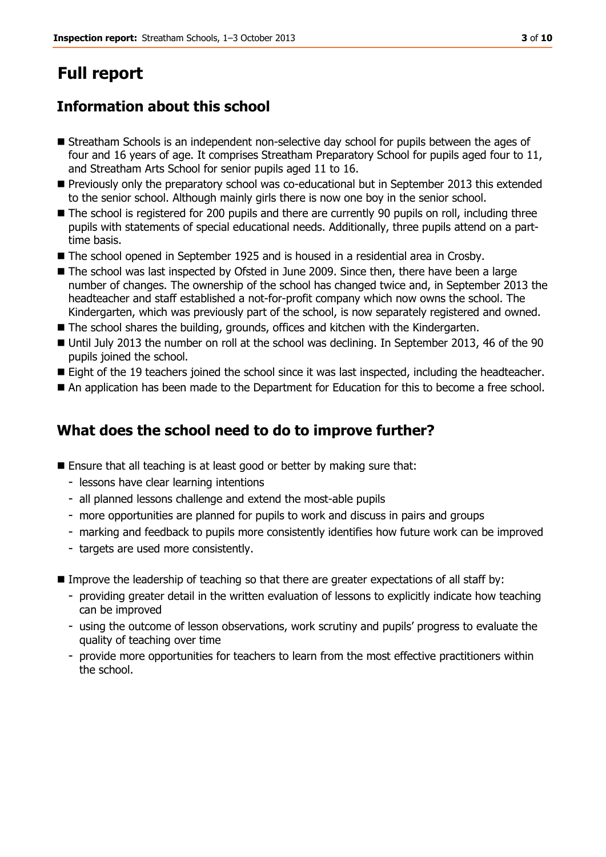# **Full report**

## **Information about this school**

- Streatham Schools is an independent non-selective day school for pupils between the ages of four and 16 years of age. It comprises Streatham Preparatory School for pupils aged four to 11, and Streatham Arts School for senior pupils aged 11 to 16.
- **Previously only the preparatory school was co-educational but in September 2013 this extended** to the senior school. Although mainly girls there is now one boy in the senior school.
- The school is registered for 200 pupils and there are currently 90 pupils on roll, including three pupils with statements of special educational needs. Additionally, three pupils attend on a parttime basis.
- The school opened in September 1925 and is housed in a residential area in Crosby.
- The school was last inspected by Ofsted in June 2009. Since then, there have been a large number of changes. The ownership of the school has changed twice and, in September 2013 the headteacher and staff established a not-for-profit company which now owns the school. The Kindergarten, which was previously part of the school, is now separately registered and owned.
- The school shares the building, grounds, offices and kitchen with the Kindergarten.
- Until July 2013 the number on roll at the school was declining. In September 2013, 46 of the 90 pupils joined the school.
- Eight of the 19 teachers joined the school since it was last inspected, including the headteacher.
- An application has been made to the Department for Education for this to become a free school.

## **What does the school need to do to improve further?**

- Ensure that all teaching is at least good or better by making sure that:
	- lessons have clear learning intentions
	- all planned lessons challenge and extend the most-able pupils
	- more opportunities are planned for pupils to work and discuss in pairs and groups
	- marking and feedback to pupils more consistently identifies how future work can be improved
	- targets are used more consistently.
- Improve the leadership of teaching so that there are greater expectations of all staff by:
	- providing greater detail in the written evaluation of lessons to explicitly indicate how teaching can be improved
	- using the outcome of lesson observations, work scrutiny and pupils' progress to evaluate the quality of teaching over time
	- provide more opportunities for teachers to learn from the most effective practitioners within the school.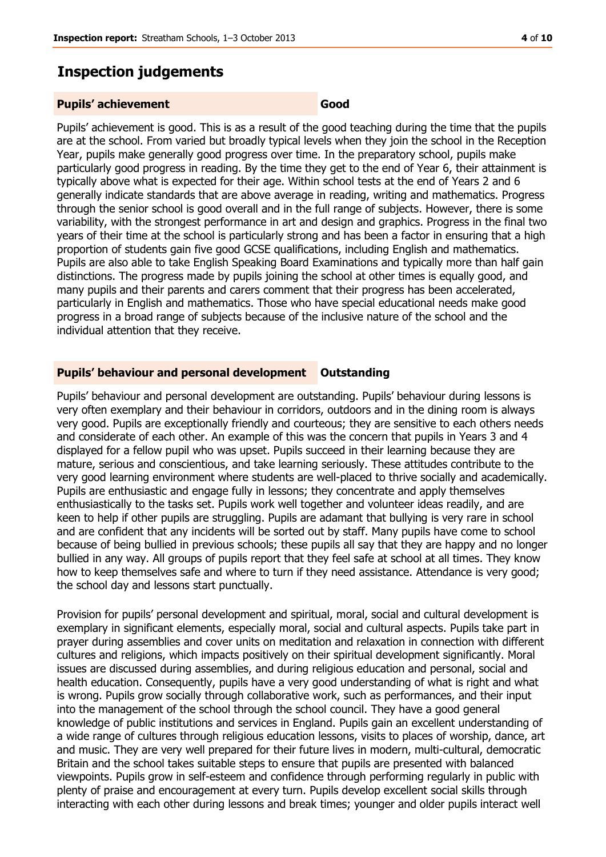## **Inspection judgements**

#### **Pupils' achievement Good**

Pupils' achievement is good. This is as a result of the good teaching during the time that the pupils are at the school. From varied but broadly typical levels when they join the school in the Reception Year, pupils make generally good progress over time. In the preparatory school, pupils make particularly good progress in reading. By the time they get to the end of Year 6, their attainment is typically above what is expected for their age. Within school tests at the end of Years 2 and 6 generally indicate standards that are above average in reading, writing and mathematics. Progress through the senior school is good overall and in the full range of subjects. However, there is some variability, with the strongest performance in art and design and graphics. Progress in the final two years of their time at the school is particularly strong and has been a factor in ensuring that a high proportion of students gain five good GCSE qualifications, including English and mathematics. Pupils are also able to take English Speaking Board Examinations and typically more than half gain distinctions. The progress made by pupils joining the school at other times is equally good, and many pupils and their parents and carers comment that their progress has been accelerated, particularly in English and mathematics. Those who have special educational needs make good progress in a broad range of subjects because of the inclusive nature of the school and the individual attention that they receive.

#### **Pupils' behaviour and personal development Outstanding**

Pupils' behaviour and personal development are outstanding. Pupils' behaviour during lessons is very often exemplary and their behaviour in corridors, outdoors and in the dining room is always very good. Pupils are exceptionally friendly and courteous; they are sensitive to each others needs and considerate of each other. An example of this was the concern that pupils in Years 3 and 4 displayed for a fellow pupil who was upset. Pupils succeed in their learning because they are mature, serious and conscientious, and take learning seriously. These attitudes contribute to the very good learning environment where students are well-placed to thrive socially and academically. Pupils are enthusiastic and engage fully in lessons; they concentrate and apply themselves enthusiastically to the tasks set. Pupils work well together and volunteer ideas readily, and are keen to help if other pupils are struggling. Pupils are adamant that bullying is very rare in school and are confident that any incidents will be sorted out by staff. Many pupils have come to school because of being bullied in previous schools; these pupils all say that they are happy and no longer bullied in any way. All groups of pupils report that they feel safe at school at all times. They know how to keep themselves safe and where to turn if they need assistance. Attendance is very good; the school day and lessons start punctually.

Provision for pupils' personal development and spiritual, moral, social and cultural development is exemplary in significant elements, especially moral, social and cultural aspects. Pupils take part in prayer during assemblies and cover units on meditation and relaxation in connection with different cultures and religions, which impacts positively on their spiritual development significantly. Moral issues are discussed during assemblies, and during religious education and personal, social and health education. Consequently, pupils have a very good understanding of what is right and what is wrong. Pupils grow socially through collaborative work, such as performances, and their input into the management of the school through the school council. They have a good general knowledge of public institutions and services in England. Pupils gain an excellent understanding of a wide range of cultures through religious education lessons, visits to places of worship, dance, art and music. They are very well prepared for their future lives in modern, multi-cultural, democratic Britain and the school takes suitable steps to ensure that pupils are presented with balanced viewpoints. Pupils grow in self-esteem and confidence through performing regularly in public with plenty of praise and encouragement at every turn. Pupils develop excellent social skills through interacting with each other during lessons and break times; younger and older pupils interact well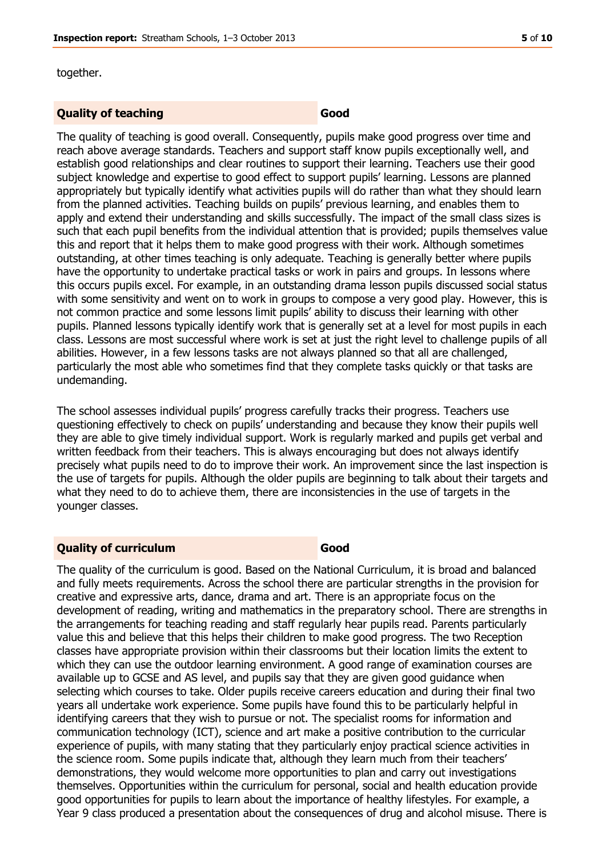together.

## **Quality of teaching**  Good

The quality of teaching is good overall. Consequently, pupils make good progress over time and reach above average standards. Teachers and support staff know pupils exceptionally well, and establish good relationships and clear routines to support their learning. Teachers use their good subject knowledge and expertise to good effect to support pupils' learning. Lessons are planned appropriately but typically identify what activities pupils will do rather than what they should learn from the planned activities. Teaching builds on pupils' previous learning, and enables them to apply and extend their understanding and skills successfully. The impact of the small class sizes is such that each pupil benefits from the individual attention that is provided; pupils themselves value this and report that it helps them to make good progress with their work. Although sometimes outstanding, at other times teaching is only adequate. Teaching is generally better where pupils have the opportunity to undertake practical tasks or work in pairs and groups. In lessons where this occurs pupils excel. For example, in an outstanding drama lesson pupils discussed social status with some sensitivity and went on to work in groups to compose a very good play. However, this is not common practice and some lessons limit pupils' ability to discuss their learning with other pupils. Planned lessons typically identify work that is generally set at a level for most pupils in each class. Lessons are most successful where work is set at just the right level to challenge pupils of all abilities. However, in a few lessons tasks are not always planned so that all are challenged, particularly the most able who sometimes find that they complete tasks quickly or that tasks are undemanding.

The school assesses individual pupils' progress carefully tracks their progress. Teachers use questioning effectively to check on pupils' understanding and because they know their pupils well they are able to give timely individual support. Work is regularly marked and pupils get verbal and written feedback from their teachers. This is always encouraging but does not always identify precisely what pupils need to do to improve their work. An improvement since the last inspection is the use of targets for pupils. Although the older pupils are beginning to talk about their targets and what they need to do to achieve them, there are inconsistencies in the use of targets in the younger classes.

## **Quality of curriculum Good**

The quality of the curriculum is good. Based on the National Curriculum, it is broad and balanced and fully meets requirements. Across the school there are particular strengths in the provision for creative and expressive arts, dance, drama and art. There is an appropriate focus on the development of reading, writing and mathematics in the preparatory school. There are strengths in the arrangements for teaching reading and staff regularly hear pupils read. Parents particularly value this and believe that this helps their children to make good progress. The two Reception classes have appropriate provision within their classrooms but their location limits the extent to which they can use the outdoor learning environment. A good range of examination courses are available up to GCSE and AS level, and pupils say that they are given good guidance when selecting which courses to take. Older pupils receive careers education and during their final two years all undertake work experience. Some pupils have found this to be particularly helpful in identifying careers that they wish to pursue or not. The specialist rooms for information and communication technology (ICT), science and art make a positive contribution to the curricular experience of pupils, with many stating that they particularly enjoy practical science activities in the science room. Some pupils indicate that, although they learn much from their teachers' demonstrations, they would welcome more opportunities to plan and carry out investigations themselves. Opportunities within the curriculum for personal, social and health education provide good opportunities for pupils to learn about the importance of healthy lifestyles. For example, a Year 9 class produced a presentation about the consequences of drug and alcohol misuse. There is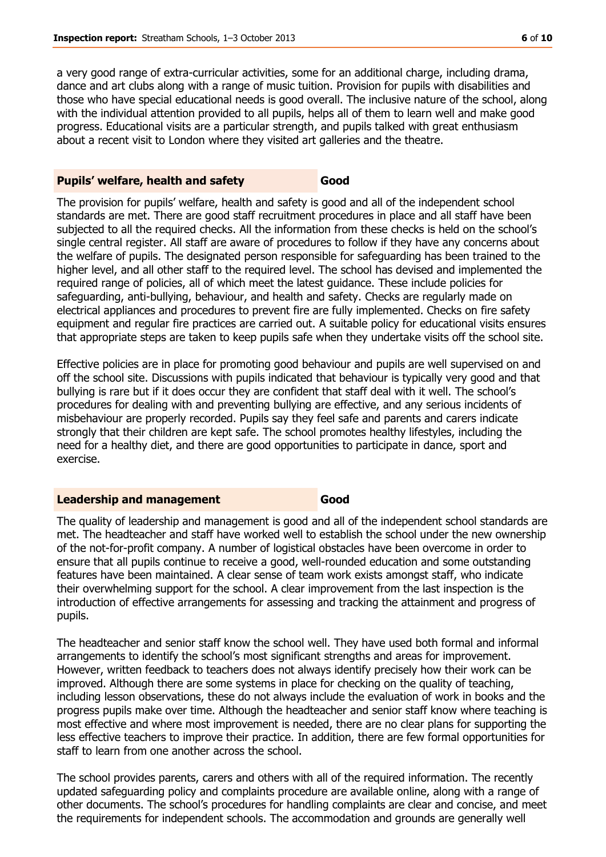a very good range of extra-curricular activities, some for an additional charge, including drama, dance and art clubs along with a range of music tuition. Provision for pupils with disabilities and those who have special educational needs is good overall. The inclusive nature of the school, along with the individual attention provided to all pupils, helps all of them to learn well and make good progress. Educational visits are a particular strength, and pupils talked with great enthusiasm about a recent visit to London where they visited art galleries and the theatre.

## **Pupils' welfare, health and safety Good**

The provision for pupils' welfare, health and safety is good and all of the independent school standards are met. There are good staff recruitment procedures in place and all staff have been subjected to all the required checks. All the information from these checks is held on the school's single central register. All staff are aware of procedures to follow if they have any concerns about the welfare of pupils. The designated person responsible for safeguarding has been trained to the higher level, and all other staff to the required level. The school has devised and implemented the required range of policies, all of which meet the latest guidance. These include policies for safeguarding, anti-bullying, behaviour, and health and safety. Checks are regularly made on electrical appliances and procedures to prevent fire are fully implemented. Checks on fire safety equipment and regular fire practices are carried out. A suitable policy for educational visits ensures that appropriate steps are taken to keep pupils safe when they undertake visits off the school site.

Effective policies are in place for promoting good behaviour and pupils are well supervised on and off the school site. Discussions with pupils indicated that behaviour is typically very good and that bullying is rare but if it does occur they are confident that staff deal with it well. The school's procedures for dealing with and preventing bullying are effective, and any serious incidents of misbehaviour are properly recorded. Pupils say they feel safe and parents and carers indicate strongly that their children are kept safe. The school promotes healthy lifestyles, including the need for a healthy diet, and there are good opportunities to participate in dance, sport and exercise.

#### **Leadership and management Good**

The quality of leadership and management is good and all of the independent school standards are met. The headteacher and staff have worked well to establish the school under the new ownership of the not-for-profit company. A number of logistical obstacles have been overcome in order to ensure that all pupils continue to receive a good, well-rounded education and some outstanding features have been maintained. A clear sense of team work exists amongst staff, who indicate their overwhelming support for the school. A clear improvement from the last inspection is the introduction of effective arrangements for assessing and tracking the attainment and progress of pupils.

The headteacher and senior staff know the school well. They have used both formal and informal arrangements to identify the school's most significant strengths and areas for improvement. However, written feedback to teachers does not always identify precisely how their work can be improved. Although there are some systems in place for checking on the quality of teaching, including lesson observations, these do not always include the evaluation of work in books and the progress pupils make over time. Although the headteacher and senior staff know where teaching is most effective and where most improvement is needed, there are no clear plans for supporting the less effective teachers to improve their practice. In addition, there are few formal opportunities for staff to learn from one another across the school.

The school provides parents, carers and others with all of the required information. The recently updated safeguarding policy and complaints procedure are available online, along with a range of other documents. The school's procedures for handling complaints are clear and concise, and meet the requirements for independent schools. The accommodation and grounds are generally well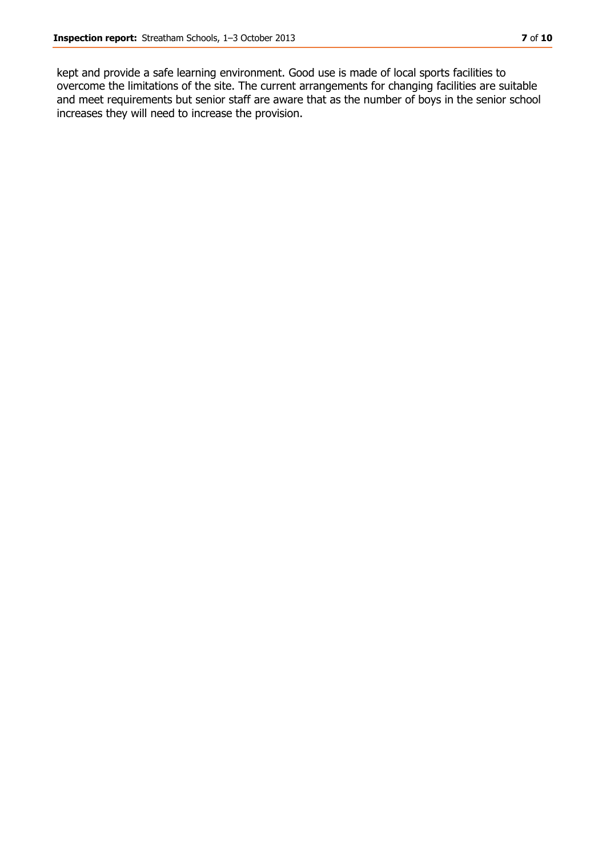kept and provide a safe learning environment. Good use is made of local sports facilities to overcome the limitations of the site. The current arrangements for changing facilities are suitable and meet requirements but senior staff are aware that as the number of boys in the senior school increases they will need to increase the provision.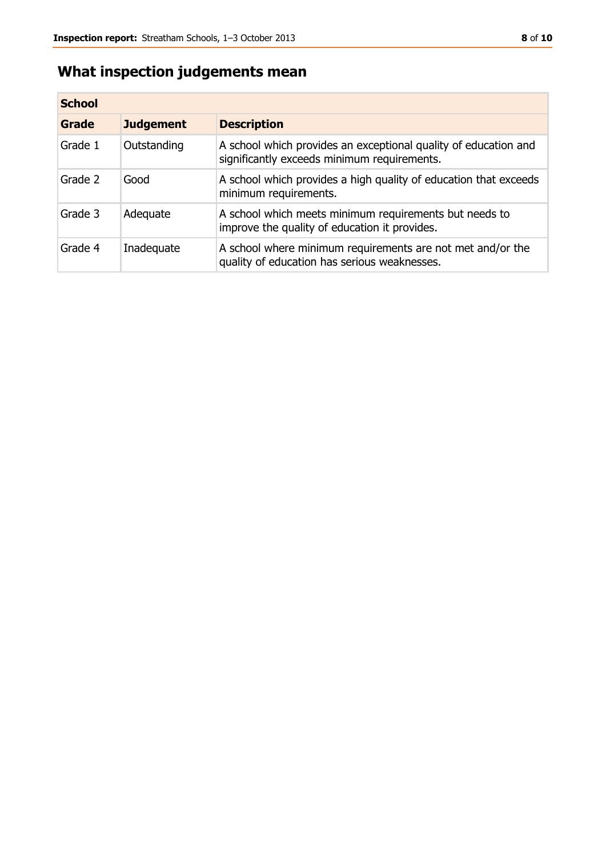## **What inspection judgements mean**

| <b>School</b> |                  |                                                                                                                |
|---------------|------------------|----------------------------------------------------------------------------------------------------------------|
| Grade         | <b>Judgement</b> | <b>Description</b>                                                                                             |
| Grade 1       | Outstanding      | A school which provides an exceptional quality of education and<br>significantly exceeds minimum requirements. |
| Grade 2       | Good             | A school which provides a high quality of education that exceeds<br>minimum requirements.                      |
| Grade 3       | Adequate         | A school which meets minimum requirements but needs to<br>improve the quality of education it provides.        |
| Grade 4       | Inadequate       | A school where minimum requirements are not met and/or the<br>quality of education has serious weaknesses.     |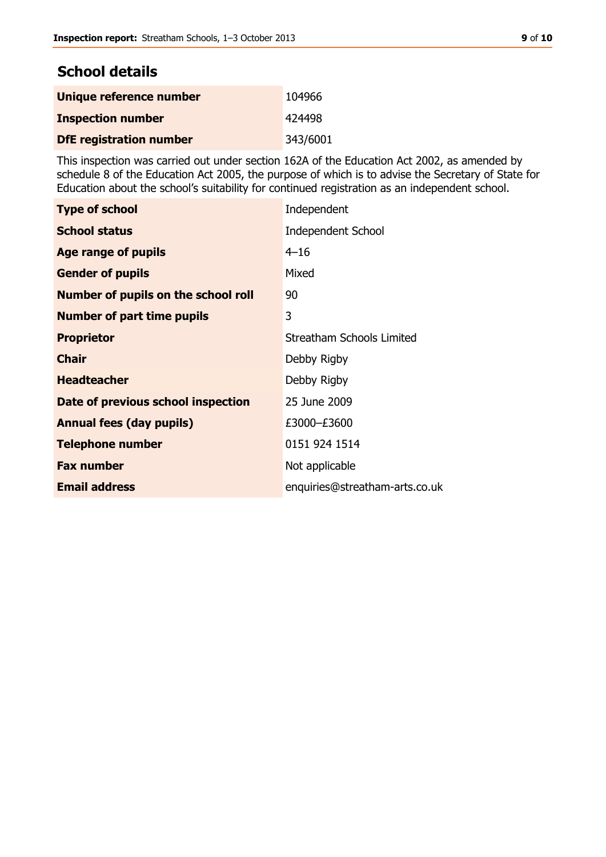## **School details**

| Unique reference number        | 104966   |
|--------------------------------|----------|
| <b>Inspection number</b>       | 424498   |
| <b>DfE registration number</b> | 343/6001 |

This inspection was carried out under section 162A of the Education Act 2002, as amended by schedule 8 of the Education Act 2005, the purpose of which is to advise the Secretary of State for Education about the school's suitability for continued registration as an independent school.

| <b>Type of school</b>                      | Independent                    |
|--------------------------------------------|--------------------------------|
| <b>School status</b>                       | <b>Independent School</b>      |
| Age range of pupils                        | $4 - 16$                       |
| <b>Gender of pupils</b>                    | Mixed                          |
| <b>Number of pupils on the school roll</b> | 90                             |
| <b>Number of part time pupils</b>          | 3                              |
| <b>Proprietor</b>                          | Streatham Schools Limited      |
| <b>Chair</b>                               | Debby Rigby                    |
| <b>Headteacher</b>                         | Debby Rigby                    |
| Date of previous school inspection         | 25 June 2009                   |
| <b>Annual fees (day pupils)</b>            | £3000-£3600                    |
| <b>Telephone number</b>                    | 0151 924 1514                  |
| <b>Fax number</b>                          | Not applicable                 |
| <b>Email address</b>                       | enquiries@streatham-arts.co.uk |